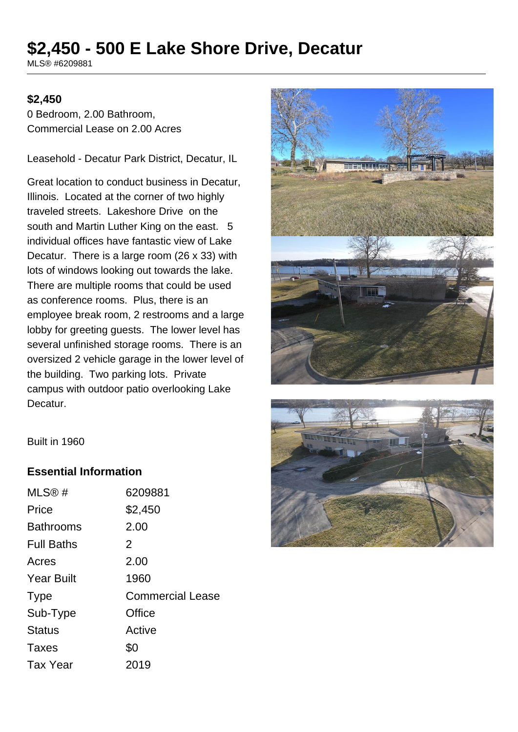# **\$2,450 - 500 E Lake Shore Drive, Decatur**

MLS® #6209881

#### **\$2,450**

0 Bedroom, 2.00 Bathroom, Commercial Lease on 2.00 Acres

Leasehold - Decatur Park District, Decatur, IL

Great location to conduct business in Decatur, Illinois. Located at the corner of two highly traveled streets. Lakeshore Drive on the south and Martin Luther King on the east. 5 individual offices have fantastic view of Lake Decatur. There is a large room (26 x 33) with lots of windows looking out towards the lake. There are multiple rooms that could be used as conference rooms. Plus, there is an employee break room, 2 restrooms and a large lobby for greeting guests. The lower level has several unfinished storage rooms. There is an oversized 2 vehicle garage in the lower level of the building. Two parking lots. Private campus with outdoor patio overlooking Lake Decatur.





Built in 1960

#### **Essential Information**

| MLS®#             | 6209881                 |
|-------------------|-------------------------|
| Price             | \$2,450                 |
| <b>Bathrooms</b>  | 2.00                    |
| <b>Full Baths</b> | 2                       |
| Acres             | 2.00                    |
| <b>Year Built</b> | 1960                    |
| <b>Type</b>       | <b>Commercial Lease</b> |
| Sub-Type          | Office                  |
| <b>Status</b>     | Active                  |
| Taxes             | \$0                     |
| <b>Tax Year</b>   | 2019                    |